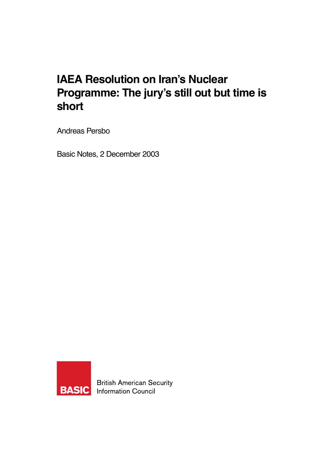# **IAEA Resolution on Iran's Nuclear Programme: The jury's still out but time is short**

Andreas Persbo

Basic Notes, 2 December 2003



**British American Security BASIC** Information Council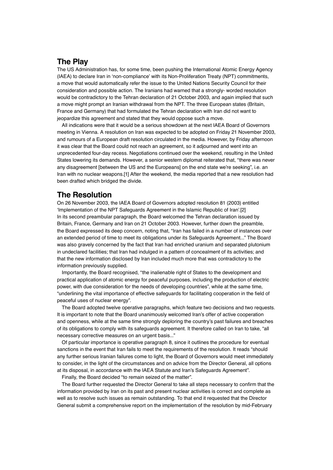## **The Play**

The US Administration has, for some time, been pushing the International Atomic Energy Agency (IAEA) to declare Iran in 'non-compliance' with its Non-Proliferation Treaty (NPT) commitments, a move that would automatically refer the issue to the United Nations Security Council for their consideration and possible action. The Iranians had warned that a strongly- worded resolution would be contradictory to the Tehran declaration of 21 October 2003, and again implied that such a move might prompt an Iranian withdrawal from the NPT. The three European states (Britain, France and Germany) that had formulated the Tehran declaration with Iran did not want to jeopardize this agreement and stated that they would oppose such a move.

All indications were that it would be a serious showdown at the next IAEA Board of Governors meeting in Vienna. A resolution on Iran was expected to be adopted on Friday 21 November 2003, and rumours of a European draft resolution circulated in the media. However, by Friday afternoon it was clear that the Board could not reach an agreement, so it adjourned and went into an unprecedented four-day recess. Negotiations continued over the weekend, resulting in the United States lowering its demands. However, a senior western diplomat reiterated that, "there was never any disagreement [between the US and the Europeans] on the end state we're seeking", i.e. an Iran with no nuclear weapons.[1] After the weekend, the media reported that a new resolution had been drafted which bridged the divide.

# **The Resolution**

On 26 November 2003, the IAEA Board of Governors adopted resolution 81 (2003) entitled 'Implementation of the NPT Safeguards Agreement in the Islamic Republic of Iran'.[2] In its second preambular paragraph, the Board welcomed the Tehran declaration issued by Britain, France, Germany and Iran on 21 October 2003. However, further down the preamble, the Board expressed its deep concern, noting that, "Iran has failed in a number of instances over an extended period of time to meet its obligations under its Safeguards Agreement..." The Board was also gravely concerned by the fact that Iran had enriched uranium and separated plutonium in undeclared facilities; that Iran had indulged in a pattern of concealment of its activities; and that the new information disclosed by Iran included much more that was contradictory to the information previously supplied.

Importantly, the Board recognised, "the inalienable right of States to the development and practical application of atomic energy for peaceful purposes, including the production of electric power, with due consideration for the needs of developing countries", while at the same time, "underlining the vital importance of effective safeguards for facilitating cooperation in the field of peaceful uses of nuclear energy".

The Board adopted twelve operative paragraphs, which feature two decisions and two requests. It is important to note that the Board unanimously welcomed Iran's offer of active cooperation and openness, while at the same time strongly deploring the country's past failures and breaches of its obligations to comply with its safeguards agreement. It therefore called on Iran to take, "all necessary corrective measures on an urgent basis..."

Of particular importance is operative paragraph 8, since it outlines the procedure for eventual sanctions in the event that Iran fails to meet the requirements of the resolution. It reads "should any further serious Iranian failures come to light, the Board of Governors would meet immediately to consider, in the light of the circumstances and on advice from the Director General, all options at its disposal, in accordance with the IAEA Statute and Iran's Safeguards Agreement".

Finally, the Board decided "to remain seized of the matter".

The Board further requested the Director General to take all steps necessary to confirm that the information provided by Iran on its past and present nuclear activities is correct and complete as well as to resolve such issues as remain outstanding. To that end it requested that the Director General submit a comprehensive report on the implementation of the resolution by mid-February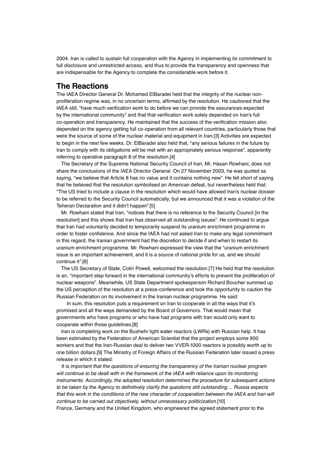2004. Iran is called to sustain full cooperation with the Agency in implementing its commitment to full disclosure and unrestricted access, and thus to provide the transparency and openness that are indispensable for the Agency to complete the considerable work before it.

#### **The Reactions**

The IAEA Director General Dr. Mohamed ElBaradei held that the integrity of the nuclear nonproliferation regime was, in no uncertain terms, affirmed by the resolution. He cautioned that the IAEA still, "have much verification work to do before we can provide the assurances expected by the international community" and that that verification work solely depended on Iran's full co-operation and transparency. He maintained that the success of the verification mission also depended on the agency getting full co-operation from all relevant countries, particularly those that were the source of some of the nuclear material and equipment in Iran.[3] Activities are expected to begin in the next few weeks. Dr. ElBaradei also held that, "any serious failures in the future by Iran to comply with its obligations will be met with an appropriately serious response", apparently referring to operative paragraph 8 of the resolution.[4]

The Secretary of the Supreme National Security Council of Iran, Mr. Hasan Rowhani, does not share the conclusions of the IAEA Director General. On 27 November 2003, he was quoted as saying, "we believe that Article 8 has no value and it contains nothing new". He fell short of saying that he believed that the resolution symbolised an American defeat, but nevertheless held that: "The US tried to include a clause in the resolution which would have allowed Iran's nuclear dossier to be referred to the Security Council automatically, but we announced that it was a violation of the Teheran Declaration and it didn't happen".[5]

Mr. Rowhani stated that Iran, "notices that there is no reference to the Security Council [in the resolution] and this shows that Iran has observed all outstanding issues". He continued to argue that Iran had voluntarily decided to temporarily suspend its uranium enrichment programme in order to foster confidence. And since the IAEA had not asked Iran to make any legal commitment in this regard, the Iranian government had the discretion to decide if and when to restart its uranium enrichment programme. Mr. Rowhani expressed the view that the "uranium enrichment issue is an important achievement, and it is a source of national pride for us, and we should continue it".[6]

The US Secretary of State, Colin Powell, welcomed the resolution.[7] He held that the resolution is an, "important step forward in the international community's efforts to prevent the proliferation of nuclear weapons". Meanwhile, US State Department spokesperson Richard Boucher summed up the US perception of the resolution at a press-conference and took the opportunity to caution the Russian Federation on its involvement in the Iranian nuclear programme. He said:

 In sum, this resolution puts a requirement on Iran to cooperate in all the ways that it's promised and all the ways demanded by the Board of Governors. That would mean that governments who have programs or who have had programs with Iran would only want to cooperate within those guidelines.[8]

Iran is completing work on the Bushehr light water reactors (LWRs) with Russian help. It has been estimated by the Federation of American Scientist that the project employs some 900 workers and that the Iran-Russian deal to deliver two VVER-1000 reactors is possibly worth up to one billion dollars.[9] The Ministry of Foreign Affairs of the Russian Federation later issued a press release in which it stated:

It is important that the questions of ensuring the transparency of the Iranian nuclear program will continue to be dealt with in the framework of the IAEA with reliance upon its monitoring instruments. Accordingly, the adopted resolution determines the procedure for subsequent actions to be taken by the Agency to definitively clarify the questions still outstanding ... Russia expects that this work in the conditions of the new character of cooperation between the IAEA and Iran will continue to be carried out objectively, without unnecessary politicization.[10] France, Germany and the United Kingdom, who engineered the agreed statement prior to the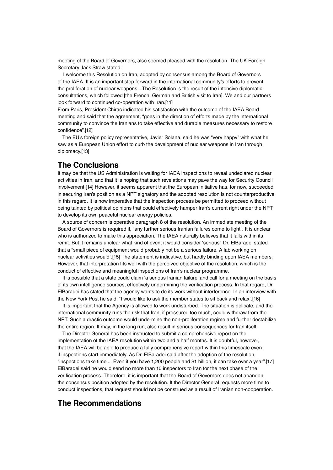meeting of the Board of Governors, also seemed pleased with the resolution. The UK Foreign Secretary Jack Straw stated:

 I welcome this Resolution on Iran, adopted by consensus among the Board of Governors of the IAEA. It is an important step forward in the international community's efforts to prevent the proliferation of nuclear weapons ...The Resolution is the result of the intensive diplomatic consultations, which followed [the French, German and British visit to Iran]. We and our partners look forward to continued co-operation with Iran.[11]

From Paris, President Chirac indicated his satisfaction with the outcome of the IAEA Board meeting and said that the agreement, "goes in the direction of efforts made by the international community to convince the Iranians to take effective and durable measures necessary to restore confidence".[12]

The EU's foreign policy representative, Javier Solana, said he was "very happy" with what he saw as a European Union effort to curb the development of nuclear weapons in Iran through diplomacy.[13]

## **The Conclusions**

It may be that the US Administration is waiting for IAEA inspections to reveal undeclared nuclear activities in Iran, and that it is hoping that such revelations may pave the way for Security Council involvement.[14] However, it seems apparent that the European initiative has, for now, succeeded in securing Iran's position as a NPT signatory and the adopted resolution is not counterproductive in this regard. It is now imperative that the inspection process be permitted to proceed without being tainted by political opinions that could effectively hamper Iran's current right under the NPT to develop its own peaceful nuclear energy policies.

A source of concern is operative paragraph 8 of the resolution. An immediate meeting of the Board of Governors is required if, "any further serious Iranian failures come to light". It is unclear who is authorized to make this appreciation. The IAEA naturally believes that it falls within its remit. But it remains unclear what kind of event it would consider 'serious'. Dr. ElBaradei stated that a "small piece of equipment would probably not be a serious failure. A lab working on nuclear activities would".[15] The statement is indicative, but hardly binding upon IAEA members. However, that interpretation fits well with the perceived objective of the resolution, which is the conduct of effective and meaningful inspections of Iran's nuclear programme.

It is possible that a state could claim 'a serious Iranian failure' and call for a meeting on the basis of its own intelligence sources, effectively undermining the verification process. In that regard, Dr. ElBaradei has stated that the agency wants to do its work without interference. In an interview with the New York Post he said: "I would like to ask the member states to sit back and relax".[16]

It is important that the Agency is allowed to work undisturbed. The situation is delicate, and the international community runs the risk that Iran, if pressured too much, could withdraw from the NPT. Such a drastic outcome would undermine the non-proliferation regime and further destabilize the entire region. It may, in the long run, also result in serious consequences for Iran itself.

The Director General has been instructed to submit a comprehensive report on the implementation of the IAEA resolution within two and a half months. It is doubtful, however, that the IAEA will be able to produce a fully comprehensive report within this timescale even if inspections start immediately. As Dr. ElBaradei said after the adoption of the resolution, "inspections take time ... Even if you have 1,200 people and \$1 billion, it can take over a year".[17] ElBaradei said he would send no more than 10 inspectors to Iran for the next phase of the verification process. Therefore, it is important that the Board of Governors does not abandon the consensus position adopted by the resolution. If the Director General requests more time to conduct inspections, that request should not be construed as a result of Iranian non-cooperation.

# **The Recommendations**